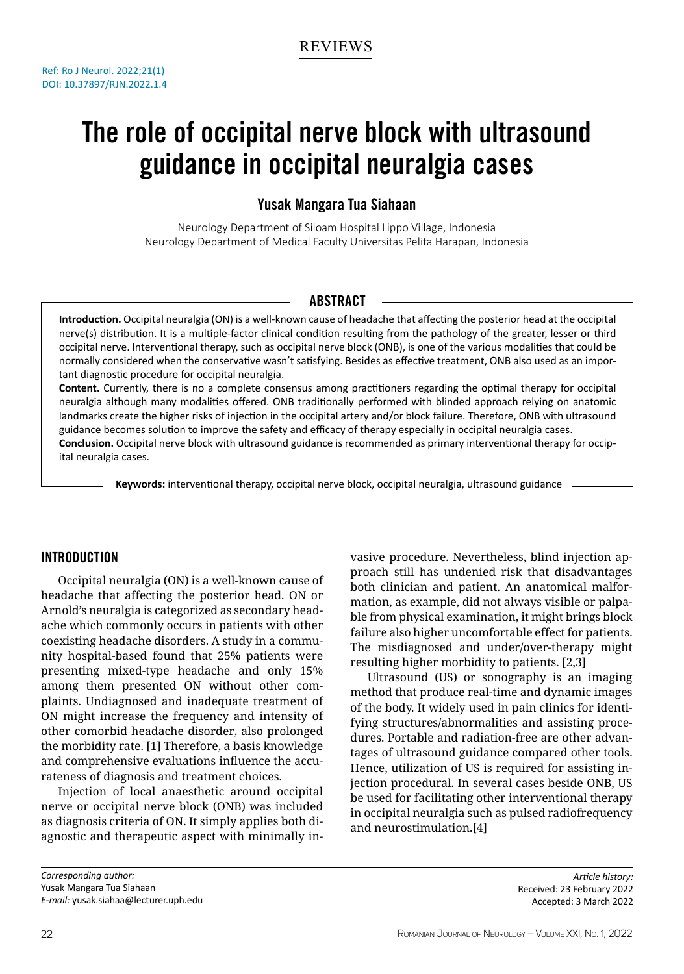# The role of occipital nerve block with ultrasound guidance in occipital neuralgia cases

# Yusak Mangara Tua Siahaan

Neurology Department of Siloam Hospital Lippo Village, Indonesia Neurology Department of Medical Faculty Universitas Pelita Harapan, Indonesia

# **ABSTRACT**

**Introduction.** Occipital neuralgia (ON) is a well-known cause of headache that affecting the posterior head at the occipital nerve(s) distribution. It is a multiple-factor clinical condition resulting from the pathology of the greater, lesser or third occipital nerve. Interventional therapy, such as occipital nerve block (ONB), is one of the various modalities that could be normally considered when the conservative wasn't satisfying. Besides as effective treatment, ONB also used as an important diagnostic procedure for occipital neuralgia.

**Content.** Currently, there is no a complete consensus among practitioners regarding the optimal therapy for occipital neuralgia although many modalities offered. ONB traditionally performed with blinded approach relying on anatomic landmarks create the higher risks of injection in the occipital artery and/or block failure. Therefore, ONB with ultrasound guidance becomes solution to improve the safety and efficacy of therapy especially in occipital neuralgia cases. **Conclusion.** Occipital nerve block with ultrasound guidance is recommended as primary interventional therapy for occipital neuralgia cases.

**Keywords:** interventional therapy, occipital nerve block, occipital neuralgia, ultrasound guidance

# Introduction

Occipital neuralgia (ON) is a well-known cause of headache that affecting the posterior head. ON or Arnold's neuralgia is categorized as secondary headache which commonly occurs in patients with other coexisting headache disorders. A study in a community hospital-based found that 25% patients were presenting mixed-type headache and only 15% among them presented ON without other complaints. Undiagnosed and inadequate treatment of ON might increase the frequency and intensity of other comorbid headache disorder, also prolonged the morbidity rate. [1] Therefore, a basis knowledge and comprehensive evaluations influence the accurateness of diagnosis and treatment choices.

Injection of local anaesthetic around occipital nerve or occipital nerve block (ONB) was included as diagnosis criteria of ON. It simply applies both diagnostic and therapeutic aspect with minimally in-

vasive procedure. Nevertheless, blind injection approach still has undenied risk that disadvantages both clinician and patient. An anatomical malformation, as example, did not always visible or palpable from physical examination, it might brings block failure also higher uncomfortable effect for patients. The misdiagnosed and under/over-therapy might resulting higher morbidity to patients. [2,3]

Ultrasound (US) or sonography is an imaging method that produce real-time and dynamic images of the body. It widely used in pain clinics for identifying structures/abnormalities and assisting procedures. Portable and radiation-free are other advantages of ultrasound guidance compared other tools. Hence, utilization of US is required for assisting injection procedural. In several cases beside ONB, US be used for facilitating other interventional therapy in occipital neuralgia such as pulsed radiofrequency and neurostimulation.[4]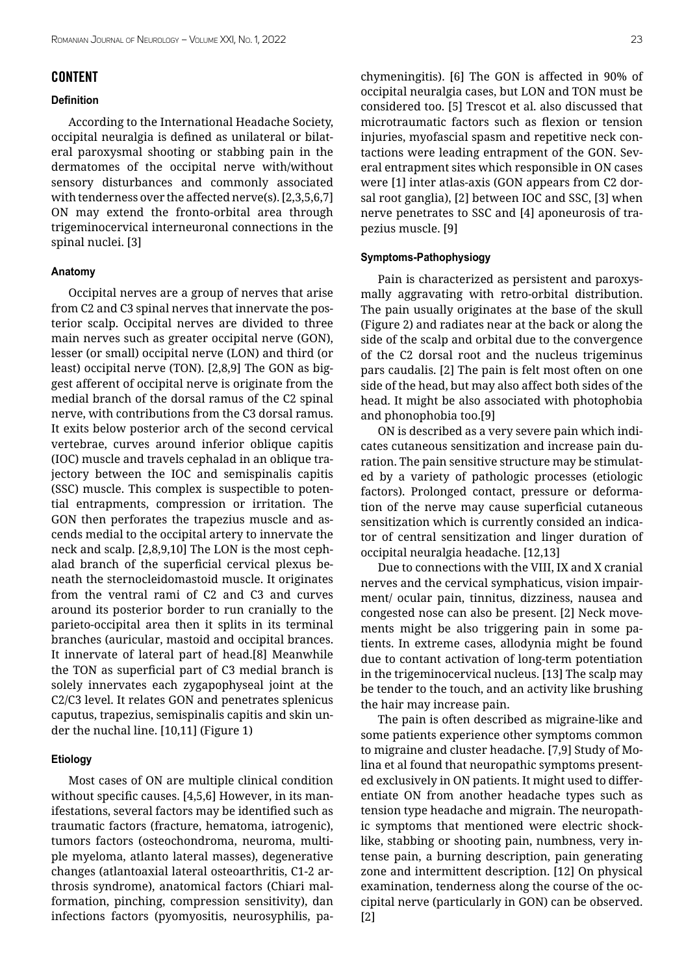## **CONTENT**

#### **Definition**

According to the International Headache Society, occipital neuralgia is defined as unilateral or bilateral paroxysmal shooting or stabbing pain in the dermatomes of the occipital nerve with/without sensory disturbances and commonly associated with tenderness over the affected nerve(s). [2,3,5,6,7] ON may extend the fronto-orbital area through trigeminocervical interneuronal connections in the spinal nuclei. [3]

#### **Anatomy**

Occipital nerves are a group of nerves that arise from C2 and C3 spinal nerves that innervate the posterior scalp. Occipital nerves are divided to three main nerves such as greater occipital nerve (GON), lesser (or small) occipital nerve (LON) and third (or least) occipital nerve (TON). [2,8,9] The GON as biggest afferent of occipital nerve is originate from the medial branch of the dorsal ramus of the C2 spinal nerve, with contributions from the C3 dorsal ramus. It exits below posterior arch of the second cervical vertebrae, curves around inferior oblique capitis (IOC) muscle and travels cephalad in an oblique trajectory between the IOC and semispinalis capitis (SSC) muscle. This complex is suspectible to potential entrapments, compression or irritation. The GON then perforates the trapezius muscle and ascends medial to the occipital artery to innervate the neck and scalp. [2,8,9,10] The LON is the most cephalad branch of the superficial cervical plexus beneath the sternocleidomastoid muscle. It originates from the ventral rami of C2 and C3 and curves around its posterior border to run cranially to the parieto-occipital area then it splits in its terminal branches (auricular, mastoid and occipital brances. It innervate of lateral part of head.[8] Meanwhile the TON as superficial part of C3 medial branch is solely innervates each zygapophyseal joint at the C2/C3 level. It relates GON and penetrates splenicus caputus, trapezius, semispinalis capitis and skin under the nuchal line. [10,11] (Figure 1)

## **Etiology**

Most cases of ON are multiple clinical condition without specific causes. [4,5,6] However, in its manifestations, several factors may be identified such as traumatic factors (fracture, hematoma, iatrogenic), tumors factors (osteochondroma, neuroma, multiple myeloma, atlanto lateral masses), degenerative changes (atlantoaxial lateral osteoarthritis, C1-2 arthrosis syndrome), anatomical factors (Chiari malformation, pinching, compression sensitivity), dan infections factors (pyomyositis, neurosyphilis, pachymeningitis). [6] The GON is affected in 90% of occipital neuralgia cases, but LON and TON must be considered too. [5] Trescot et al. also discussed that microtraumatic factors such as flexion or tension injuries, myofascial spasm and repetitive neck contactions were leading entrapment of the GON. Several entrapment sites which responsible in ON cases were [1] inter atlas-axis (GON appears from C2 dorsal root ganglia), [2] between IOC and SSC, [3] when nerve penetrates to SSC and [4] aponeurosis of trapezius muscle. [9]

#### **Symptoms-Pathophysiogy**

Pain is characterized as persistent and paroxysmally aggravating with retro-orbital distribution. The pain usually originates at the base of the skull (Figure 2) and radiates near at the back or along the side of the scalp and orbital due to the convergence of the C2 dorsal root and the nucleus trigeminus pars caudalis. [2] The pain is felt most often on one side of the head, but may also affect both sides of the head. It might be also associated with photophobia and phonophobia too.[9]

ON is described as a very severe pain which indicates cutaneous sensitization and increase pain duration. The pain sensitive structure may be stimulated by a variety of pathologic processes (etiologic factors). Prolonged contact, pressure or deformation of the nerve may cause superficial cutaneous sensitization which is currently consided an indicator of central sensitization and linger duration of occipital neuralgia headache. [12,13]

Due to connections with the VIII, IX and X cranial nerves and the cervical symphaticus, vision impairment/ ocular pain, tinnitus, dizziness, nausea and congested nose can also be present. [2] Neck movements might be also triggering pain in some patients. In extreme cases, allodynia might be found due to contant activation of long-term potentiation in the trigeminocervical nucleus. [13] The scalp may be tender to the touch, and an activity like brushing the hair may increase pain.

The pain is often described as migraine-like and some patients experience other symptoms common to migraine and cluster headache. [7,9] Study of Molina et al found that neuropathic symptoms presented exclusively in ON patients. It might used to differentiate ON from another headache types such as tension type headache and migrain. The neuropathic symptoms that mentioned were electric shocklike, stabbing or shooting pain, numbness, very intense pain, a burning description, pain generating zone and intermittent description. [12] On physical examination, tenderness along the course of the occipital nerve (particularly in GON) can be observed. [2]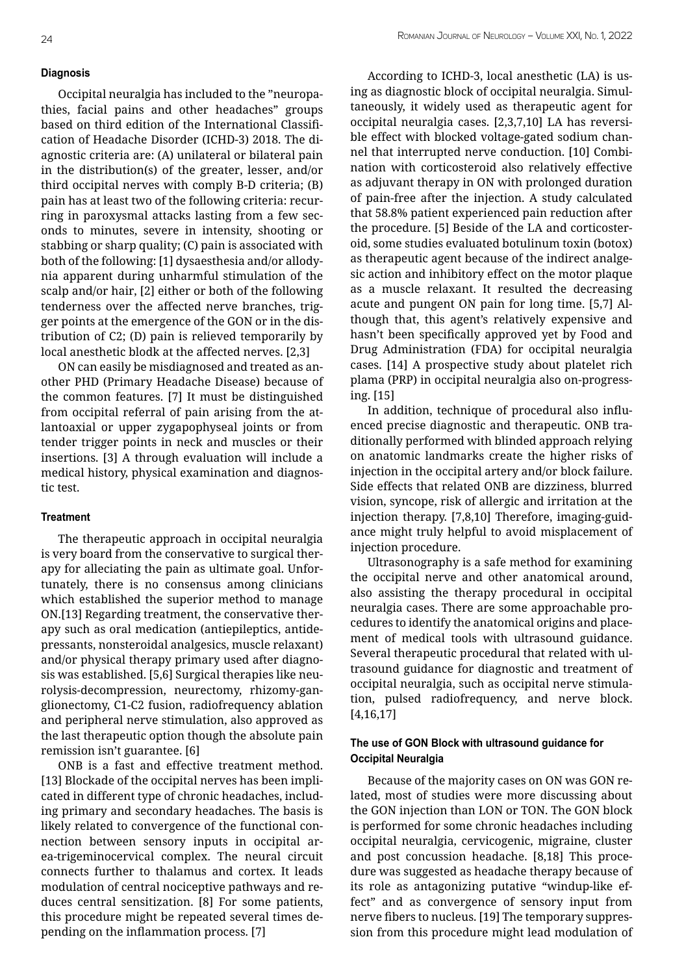# **Diagnosis**

Occipital neuralgia has included to the "neuropathies, facial pains and other headaches" groups based on third edition of the International Classification of Headache Disorder (ICHD-3) 2018. The diagnostic criteria are: (A) unilateral or bilateral pain in the distribution(s) of the greater, lesser, and/or third occipital nerves with comply B-D criteria; (B) pain has at least two of the following criteria: recurring in paroxysmal attacks lasting from a few seconds to minutes, severe in intensity, shooting or stabbing or sharp quality; (C) pain is associated with both of the following: [1] dysaesthesia and/or allodynia apparent during unharmful stimulation of the scalp and/or hair, [2] either or both of the following tenderness over the affected nerve branches, trigger points at the emergence of the GON or in the distribution of C2; (D) pain is relieved temporarily by local anesthetic blodk at the affected nerves. [2,3]

ON can easily be misdiagnosed and treated as another PHD (Primary Headache Disease) because of the common features. [7] It must be distinguished from occipital referral of pain arising from the atlantoaxial or upper zygapophyseal joints or from tender trigger points in neck and muscles or their insertions. [3] A through evaluation will include a medical history, physical examination and diagnostic test.

## **Treatment**

The therapeutic approach in occipital neuralgia is very board from the conservative to surgical therapy for alleciating the pain as ultimate goal. Unfortunately, there is no consensus among clinicians which established the superior method to manage ON.[13] Regarding treatment, the conservative therapy such as oral medication (antiepileptics, antidepressants, nonsteroidal analgesics, muscle relaxant) and/or physical therapy primary used after diagnosis was established. [5,6] Surgical therapies like neurolysis-decompression, neurectomy, rhizomy-ganglionectomy, C1-C2 fusion, radiofrequency ablation and peripheral nerve stimulation, also approved as the last therapeutic option though the absolute pain remission isn't guarantee. [6]

ONB is a fast and effective treatment method. [13] Blockade of the occipital nerves has been implicated in different type of chronic headaches, including primary and secondary headaches. The basis is likely related to convergence of the functional connection between sensory inputs in occipital area-trigeminocervical complex. The neural circuit connects further to thalamus and cortex. It leads modulation of central nociceptive pathways and reduces central sensitization. [8] For some patients, this procedure might be repeated several times depending on the inflammation process. [7]

According to ICHD-3, local anesthetic (LA) is using as diagnostic block of occipital neuralgia. Simultaneously, it widely used as therapeutic agent for occipital neuralgia cases. [2,3,7,10] LA has reversible effect with blocked voltage-gated sodium channel that interrupted nerve conduction. [10] Combination with corticosteroid also relatively effective as adjuvant therapy in ON with prolonged duration of pain-free after the injection. A study calculated that 58.8% patient experienced pain reduction after the procedure. [5] Beside of the LA and corticosteroid, some studies evaluated botulinum toxin (botox) as therapeutic agent because of the indirect analgesic action and inhibitory effect on the motor plaque as a muscle relaxant. It resulted the decreasing acute and pungent ON pain for long time. [5,7] Although that, this agent's relatively expensive and hasn't been specifically approved yet by Food and Drug Administration (FDA) for occipital neuralgia cases. [14] A prospective study about platelet rich plama (PRP) in occipital neuralgia also on-progressing. [15]

In addition, technique of procedural also influenced precise diagnostic and therapeutic. ONB traditionally performed with blinded approach relying on anatomic landmarks create the higher risks of injection in the occipital artery and/or block failure. Side effects that related ONB are dizziness, blurred vision, syncope, risk of allergic and irritation at the injection therapy. [7,8,10] Therefore, imaging-guidance might truly helpful to avoid misplacement of injection procedure.

Ultrasonography is a safe method for examining the occipital nerve and other anatomical around, also assisting the therapy procedural in occipital neuralgia cases. There are some approachable procedures to identify the anatomical origins and placement of medical tools with ultrasound guidance. Several therapeutic procedural that related with ultrasound guidance for diagnostic and treatment of occipital neuralgia, such as occipital nerve stimulation, pulsed radiofrequency, and nerve block. [4,16,17]

## **The use of GON Block with ultrasound guidance for Occipital Neuralgia**

Because of the majority cases on ON was GON related, most of studies were more discussing about the GON injection than LON or TON. The GON block is performed for some chronic headaches including occipital neuralgia, cervicogenic, migraine, cluster and post concussion headache. [8,18] This procedure was suggested as headache therapy because of its role as antagonizing putative "windup-like effect" and as convergence of sensory input from nerve fibers to nucleus. [19] The temporary suppression from this procedure might lead modulation of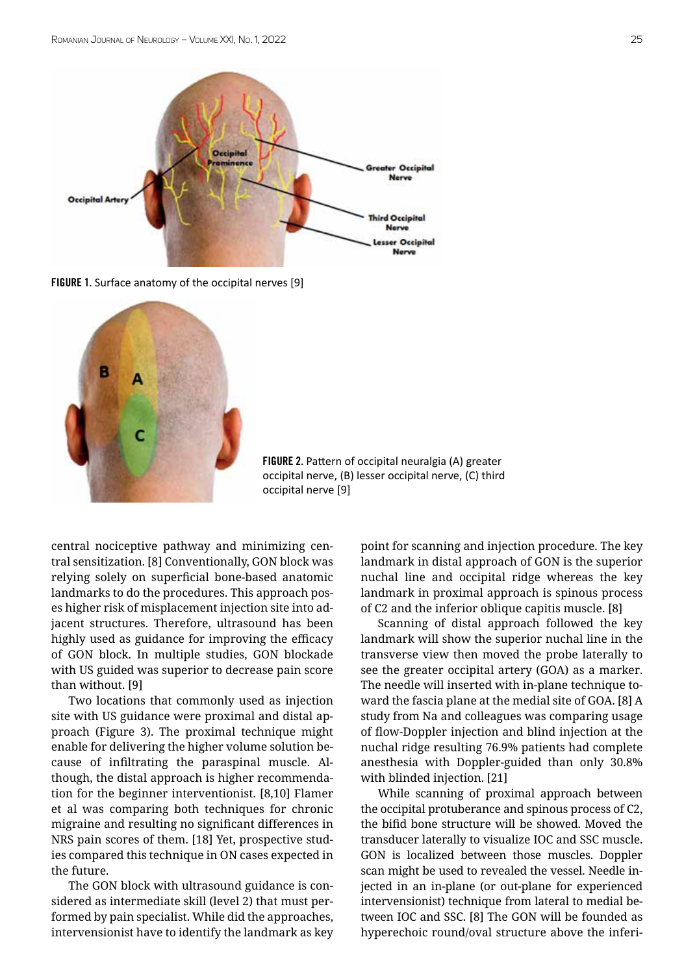

FIGURE 1. Surface anatomy of the occipital nerves [9]



FIGURE 2. Pattern of occipital neuralgia (A) greater occipital nerve, (B) lesser occipital nerve, (C) third occipital nerve [9]

central nociceptive pathway and minimizing central sensitization. [8] Conventionally, GON block was relying solely on superficial bone-based anatomic landmarks to do the procedures. This approach poses higher risk of misplacement injection site into adjacent structures. Therefore, ultrasound has been highly used as guidance for improving the efficacy of GON block. In multiple studies, GON blockade with US guided was superior to decrease pain score than without. [9]

Two locations that commonly used as injection site with US guidance were proximal and distal approach (Figure 3). The proximal technique might enable for delivering the higher volume solution because of infiltrating the paraspinal muscle. Although, the distal approach is higher recommendation for the beginner interventionist. [8,10] Flamer et al was comparing both techniques for chronic migraine and resulting no significant differences in NRS pain scores of them. [18] Yet, prospective studies compared this technique in ON cases expected in the future.

The GON block with ultrasound guidance is considered as intermediate skill (level 2) that must performed by pain specialist. While did the approaches, intervensionist have to identify the landmark as key point for scanning and injection procedure. The key landmark in distal approach of GON is the superior nuchal line and occipital ridge whereas the key landmark in proximal approach is spinous process of C2 and the inferior oblique capitis muscle. [8]

Scanning of distal approach followed the key landmark will show the superior nuchal line in the transverse view then moved the probe laterally to see the greater occipital artery (GOA) as a marker. The needle will inserted with in-plane technique toward the fascia plane at the medial site of GOA. [8] A study from Na and colleagues was comparing usage of flow-Doppler injection and blind injection at the nuchal ridge resulting 76.9% patients had complete anesthesia with Doppler-guided than only 30.8% with blinded injection. [21]

While scanning of proximal approach between the occipital protuberance and spinous process of C2, the bifid bone structure will be showed. Moved the transducer laterally to visualize IOC and SSC muscle. GON is localized between those muscles. Doppler scan might be used to revealed the vessel. Needle injected in an in-plane (or out-plane for experienced intervensionist) technique from lateral to medial between IOC and SSC. [8] The GON will be founded as hyperechoic round/oval structure above the inferi-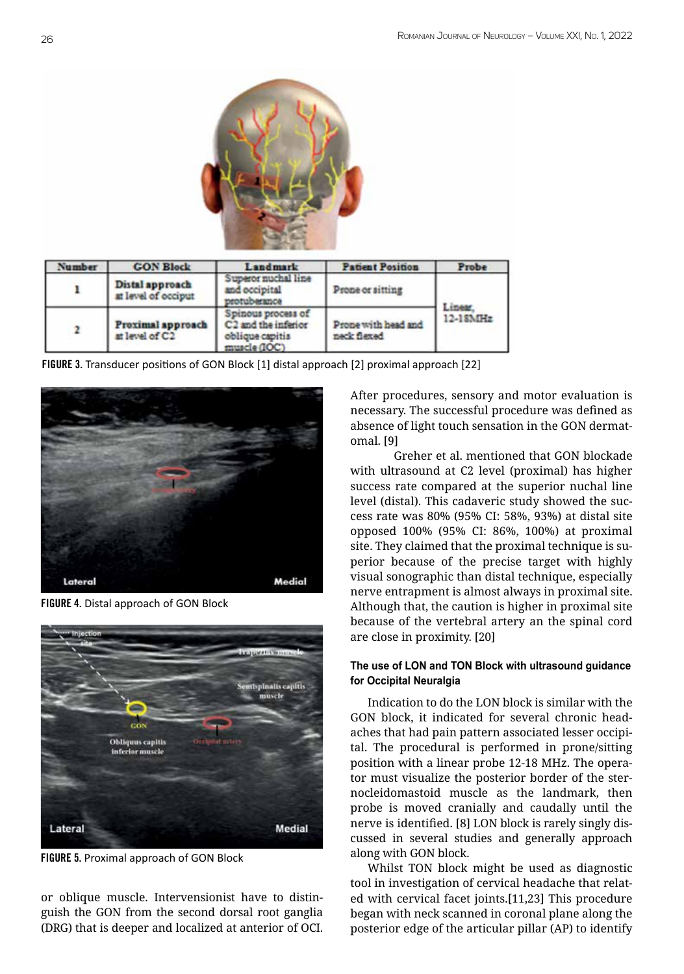

| <b>Number</b> | <b>GON Block</b>                       | Landmark                                                                                 | <b>Patient Position</b>            | Probe    |
|---------------|----------------------------------------|------------------------------------------------------------------------------------------|------------------------------------|----------|
|               | Distal approach<br>at level of occiput | Superor nuchal line<br>and occipital<br>protuberance                                     | Prone or sitting                   | 12-18MHz |
|               | Proximal approach<br>at level of C2    | Spinous process of<br>C <sub>2</sub> and the inferior<br>oblique capitis<br>muscle (IOC) | Prone with head and<br>neck flexed |          |

FIGURE 3. Transducer positions of GON Block [1] distal approach [2] proximal approach [22]



FIGURE 4. Distal approach of GON Block



FIGURE 5. Proximal approach of GON Block

or oblique muscle. Intervensionist have to distinguish the GON from the second dorsal root ganglia (DRG) that is deeper and localized at anterior of OCI.

After procedures, sensory and motor evaluation is necessary. The successful procedure was defined as absence of light touch sensation in the GON dermatomal. [9]

Greher et al. mentioned that GON blockade with ultrasound at C2 level (proximal) has higher success rate compared at the superior nuchal line level (distal). This cadaveric study showed the success rate was 80% (95% CI: 58%, 93%) at distal site opposed 100% (95% CI: 86%, 100%) at proximal site. They claimed that the proximal technique is superior because of the precise target with highly visual sonographic than distal technique, especially nerve entrapment is almost always in proximal site. Although that, the caution is higher in proximal site because of the vertebral artery an the spinal cord are close in proximity. [20]

# **The use of LON and TON Block with ultrasound guidance for Occipital Neuralgia**

Indication to do the LON block is similar with the GON block, it indicated for several chronic headaches that had pain pattern associated lesser occipital. The procedural is performed in prone/sitting position with a linear probe 12-18 MHz. The operator must visualize the posterior border of the sternocleidomastoid muscle as the landmark, then probe is moved cranially and caudally until the nerve is identified. [8] LON block is rarely singly discussed in several studies and generally approach along with GON block.

Whilst TON block might be used as diagnostic tool in investigation of cervical headache that related with cervical facet joints.[11,23] This procedure began with neck scanned in coronal plane along the posterior edge of the articular pillar (AP) to identify